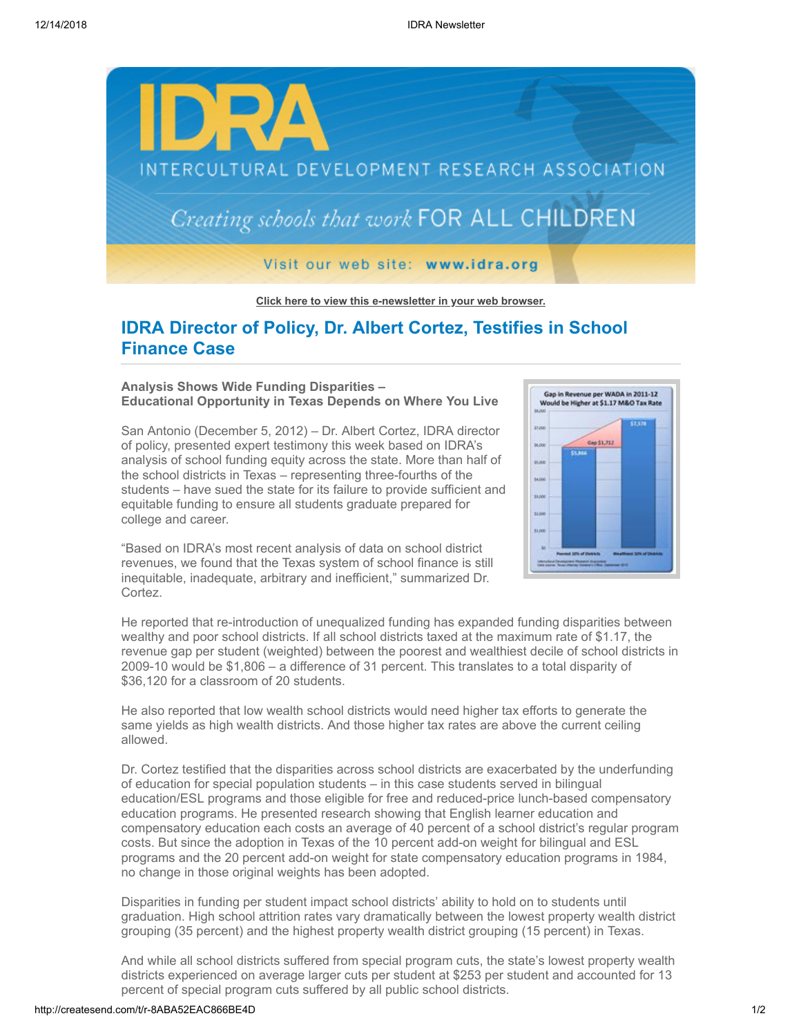

**[Click here to view this e-newsletter in your web browser.](http://newsletter.impulsedevelopment.com/t/r-e-urdhlyk-l-r/)**

# **IDRA Director of Policy, Dr. Albert Cortez, Testifies in School Finance Case**

### **Analysis Shows Wide Funding Disparities – Educational Opportunity in Texas Depends on Where You Live**

San Antonio (December 5, 2012) – Dr. Albert Cortez, IDRA director of policy, presented expert testimony this week based on IDRA's analysis of school funding equity across the state. More than half of the school districts in Texas – representing three-fourths of the students – have sued the state for its failure to provide sufficient and equitable funding to ensure all students graduate prepared for college and career.



"Based on IDRA's most recent analysis of data on school district revenues, we found that the Texas system of school finance is still inequitable, inadequate, arbitrary and inefficient," summarized Dr. Cortez.

He reported that re-introduction of unequalized funding has expanded funding disparities between wealthy and poor school districts. If all school districts taxed at the maximum rate of \$1.17, the revenue gap per student (weighted) between the poorest and wealthiest decile of school districts in 2009-10 would be \$1,806 – a difference of 31 percent. This translates to a total disparity of \$36,120 for a classroom of 20 students.

He also reported that low wealth school districts would need higher tax efforts to generate the same yields as high wealth districts. And those higher tax rates are above the current ceiling allowed.

Dr. Cortez testified that the disparities across school districts are exacerbated by the underfunding of education for special population students – in this case students served in bilingual education/ESL programs and those eligible for free and reduced-price lunch-based compensatory education programs. He presented research showing that English learner education and compensatory education each costs an average of 40 percent of a school district's regular program costs. But since the adoption in Texas of the 10 percent add-on weight for bilingual and ESL programs and the 20 percent add-on weight for state compensatory education programs in 1984, no change in those original weights has been adopted.

Disparities in funding per student impact school districts' ability to hold on to students until graduation. High school attrition rates vary dramatically between the lowest property wealth district grouping (35 percent) and the highest property wealth district grouping (15 percent) in Texas.

And while all school districts suffered from special program cuts, the state's lowest property wealth districts experienced on average larger cuts per student at \$253 per student and accounted for 13 percent of special program cuts suffered by all public school districts.